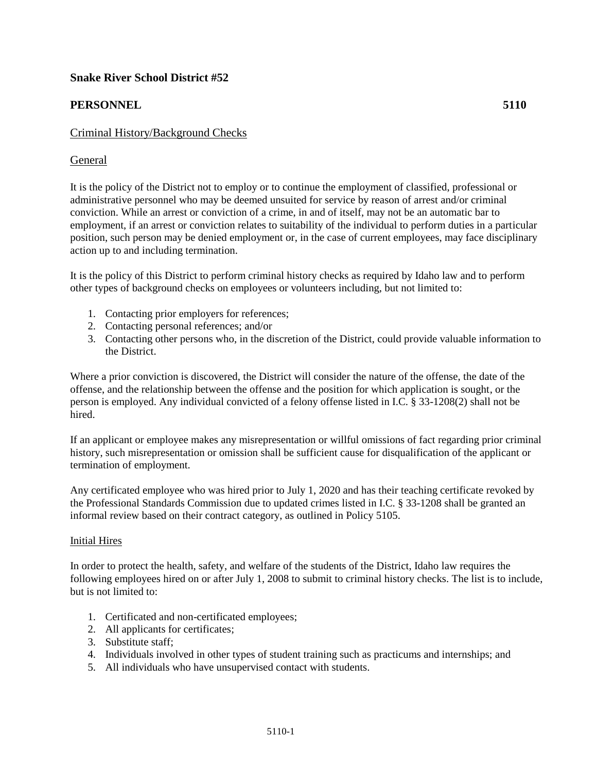# **Snake River School District #52**

# **PERSONNEL 5110**

## Criminal History/Background Checks

### General

It is the policy of the District not to employ or to continue the employment of classified, professional or administrative personnel who may be deemed unsuited for service by reason of arrest and/or criminal conviction. While an arrest or conviction of a crime, in and of itself, may not be an automatic bar to employment, if an arrest or conviction relates to suitability of the individual to perform duties in a particular position, such person may be denied employment or, in the case of current employees, may face disciplinary action up to and including termination.

It is the policy of this District to perform criminal history checks as required by Idaho law and to perform other types of background checks on employees or volunteers including, but not limited to:

- 1. Contacting prior employers for references;
- 2. Contacting personal references; and/or
- 3. Contacting other persons who, in the discretion of the District, could provide valuable information to the District.

Where a prior conviction is discovered, the District will consider the nature of the offense, the date of the offense, and the relationship between the offense and the position for which application is sought, or the person is employed. Any individual convicted of a felony offense listed in I.C. § 33-1208(2) shall not be hired.

If an applicant or employee makes any misrepresentation or willful omissions of fact regarding prior criminal history, such misrepresentation or omission shall be sufficient cause for disqualification of the applicant or termination of employment.

Any certificated employee who was hired prior to July 1, 2020 and has their teaching certificate revoked by the Professional Standards Commission due to updated crimes listed in I.C. § 33-1208 shall be granted an informal review based on their contract category, as outlined in Policy 5105.

#### Initial Hires

In order to protect the health, safety, and welfare of the students of the District, Idaho law requires the following employees hired on or after July 1, 2008 to submit to criminal history checks. The list is to include, but is not limited to:

- 1. Certificated and non-certificated employees;
- 2. All applicants for certificates;
- 3. Substitute staff;
- 4. Individuals involved in other types of student training such as practicums and internships; and
- 5. All individuals who have unsupervised contact with students.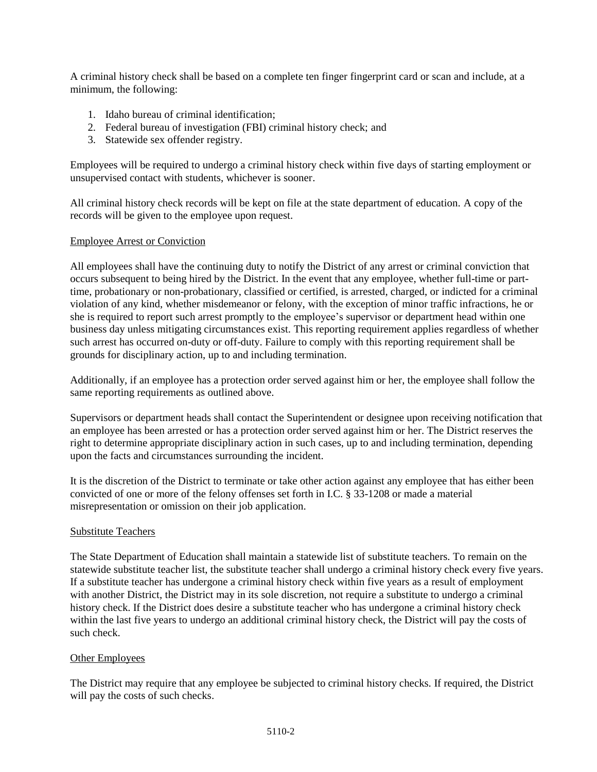A criminal history check shall be based on a complete ten finger fingerprint card or scan and include, at a minimum, the following:

- 1. Idaho bureau of criminal identification;
- 2. Federal bureau of investigation (FBI) criminal history check; and
- 3. Statewide sex offender registry.

Employees will be required to undergo a criminal history check within five days of starting employment or unsupervised contact with students, whichever is sooner.

All criminal history check records will be kept on file at the state department of education. A copy of the records will be given to the employee upon request.

#### Employee Arrest or Conviction

All employees shall have the continuing duty to notify the District of any arrest or criminal conviction that occurs subsequent to being hired by the District. In the event that any employee, whether full-time or parttime, probationary or non-probationary, classified or certified, is arrested, charged, or indicted for a criminal violation of any kind, whether misdemeanor or felony, with the exception of minor traffic infractions, he or she is required to report such arrest promptly to the employee's supervisor or department head within one business day unless mitigating circumstances exist. This reporting requirement applies regardless of whether such arrest has occurred on-duty or off-duty. Failure to comply with this reporting requirement shall be grounds for disciplinary action, up to and including termination.

Additionally, if an employee has a protection order served against him or her, the employee shall follow the same reporting requirements as outlined above.

Supervisors or department heads shall contact the Superintendent or designee upon receiving notification that an employee has been arrested or has a protection order served against him or her. The District reserves the right to determine appropriate disciplinary action in such cases, up to and including termination, depending upon the facts and circumstances surrounding the incident.

It is the discretion of the District to terminate or take other action against any employee that has either been convicted of one or more of the felony offenses set forth in I.C. § 33-1208 or made a material misrepresentation or omission on their job application.

#### Substitute Teachers

The State Department of Education shall maintain a statewide list of substitute teachers. To remain on the statewide substitute teacher list, the substitute teacher shall undergo a criminal history check every five years. If a substitute teacher has undergone a criminal history check within five years as a result of employment with another District, the District may in its sole discretion, not require a substitute to undergo a criminal history check. If the District does desire a substitute teacher who has undergone a criminal history check within the last five years to undergo an additional criminal history check, the District will pay the costs of such check.

#### Other Employees

The District may require that any employee be subjected to criminal history checks. If required, the District will pay the costs of such checks.